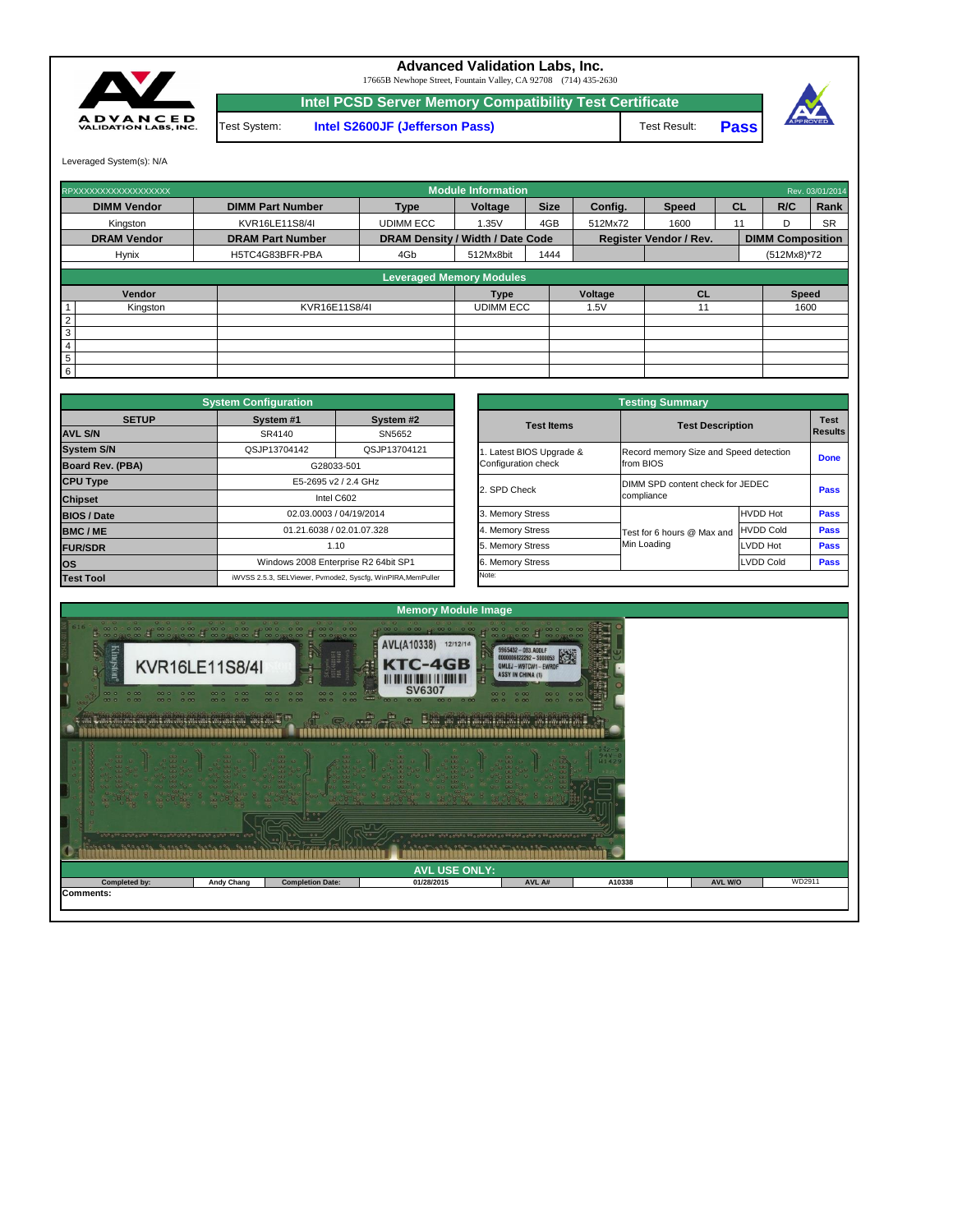|                      |                   | 00<br>0.0               |                      | 099070990990999999070999099099999999070990 |        |                |        |
|----------------------|-------------------|-------------------------|----------------------|--------------------------------------------|--------|----------------|--------|
|                      |                   |                         | <b>AVL USE ONLY:</b> |                                            |        |                |        |
| <b>Completed by:</b> | <b>Andy Chang</b> | <b>Completion Date:</b> | 01/28/2015           | AVL A#                                     | A10338 | <b>AVL W/O</b> | WD2911 |
| <b>Comments:</b>     |                   |                         |                      |                                            |        |                |        |



|                         | <b>System Configuration</b> |                                                             | <b>Testing Summary</b> |                                        |                  |                               |  |  |  |  |
|-------------------------|-----------------------------|-------------------------------------------------------------|------------------------|----------------------------------------|------------------|-------------------------------|--|--|--|--|
| <b>SETUP</b>            | System #1                   | System #2                                                   | <b>Test Items</b>      | <b>Test Description</b>                |                  | <b>Test</b><br><b>Results</b> |  |  |  |  |
| <b>AVL S/N</b>          | SR4140                      | SN5652                                                      |                        |                                        |                  |                               |  |  |  |  |
| <b>System S/N</b>       | QSJP13704142                | QSJP13704121                                                | Latest BIOS Upgrade &  | Record memory Size and Speed detection |                  | <b>Done</b>                   |  |  |  |  |
| <b>Board Rev. (PBA)</b> |                             | G28033-501                                                  | Configuration check    | from BIOS                              |                  |                               |  |  |  |  |
| <b>CPU Type</b>         |                             | E5-2695 v2 / 2.4 GHz                                        | 2. SPD Check           | DIMM SPD content check for JEDEC       | <b>Pass</b>      |                               |  |  |  |  |
| <b>Chipset</b>          |                             | Intel C602                                                  |                        | compliance                             |                  |                               |  |  |  |  |
| <b>BIOS / Date</b>      |                             | 02.03.0003 / 04/19/2014                                     | 3. Memory Stress       |                                        | <b>HVDD Hot</b>  | <b>Pass</b>                   |  |  |  |  |
| <b>BMC/ME</b>           |                             | 01.21.6038 / 02.01.07.328                                   | 4. Memory Stress       | Test for 6 hours @ Max and             | <b>HVDD Cold</b> | <b>Pass</b>                   |  |  |  |  |
| <b>FUR/SDR</b>          |                             | 1.10                                                        | 5. Memory Stress       | Min Loading                            | <b>LVDD Hot</b>  | <b>Pass</b>                   |  |  |  |  |
| <b>los</b>              |                             | Windows 2008 Enterprise R2 64bit SP1                        | 6. Memory Stress       |                                        | LVDD Cold        | <b>Pass</b>                   |  |  |  |  |
| <b>Test Tool</b>        |                             | iWVSS 2.5.3, SELViewer, Pvmode2, Syscfg, WinPIRA, MemPuller | Note:                  |                                        |                  |                               |  |  |  |  |

|                 | RPXXXXXXXXXXXXXXXXXX |                         |                                         | <b>Module Information</b> |             |                |                               |    |                         | Rev. 03/01/2014 |
|-----------------|----------------------|-------------------------|-----------------------------------------|---------------------------|-------------|----------------|-------------------------------|----|-------------------------|-----------------|
|                 | <b>DIMM Vendor</b>   | <b>DIMM Part Number</b> | <b>Type</b>                             | Voltage                   | <b>Size</b> | Config.        | <b>Speed</b>                  | CL | R/C                     | Rank            |
|                 | Kingston             | KVR16LE11S8/4I          | <b>UDIMM ECC</b>                        | 1.35V                     | 4GB         | 512Mx72        | 1600                          | 11 | D                       | <b>SR</b>       |
|                 | <b>DRAM Vendor</b>   | <b>DRAM Part Number</b> | <b>DRAM Density / Width / Date Code</b> |                           |             |                | <b>Register Vendor / Rev.</b> |    | <b>DIMM Composition</b> |                 |
|                 | <b>Hynix</b>         | H5TC4G83BFR-PBA         | 4Gb                                     | 512Mx8bit                 | 1444        |                |                               |    | $(512Mx8)*72$           |                 |
|                 |                      |                         |                                         |                           |             |                |                               |    |                         |                 |
|                 |                      |                         | <b>Leveraged Memory Modules</b>         |                           |             |                |                               |    |                         |                 |
|                 | Vendor               |                         |                                         | <b>Type</b>               |             | <b>Voltage</b> | <b>CL</b>                     |    | <b>Speed</b>            |                 |
|                 | Kingston             | KVR16E11S8/4I           |                                         | <b>UDIMM ECC</b>          |             | 1.5V           | 11                            |    | 1600                    |                 |
| $\overline{2}$  |                      |                         |                                         |                           |             |                |                               |    |                         |                 |
| 3               |                      |                         |                                         |                           |             |                |                               |    |                         |                 |
| $\overline{4}$  |                      |                         |                                         |                           |             |                |                               |    |                         |                 |
| $5\phantom{.0}$ |                      |                         |                                         |                           |             |                |                               |    |                         |                 |
| 6               |                      |                         |                                         |                           |             |                |                               |    |                         |                 |

**Pass**



17665B Newhope Street, Fountain Valley, CA 92708 (714) 435-2630

**Intel PCSD Server Memory Compatibility Test Certificate**

Test System: **Intel S2600JF (Jefferson Pass)** Test Result:

Leveraged System(s): N/A



## **Advanced Validation Labs, Inc.**